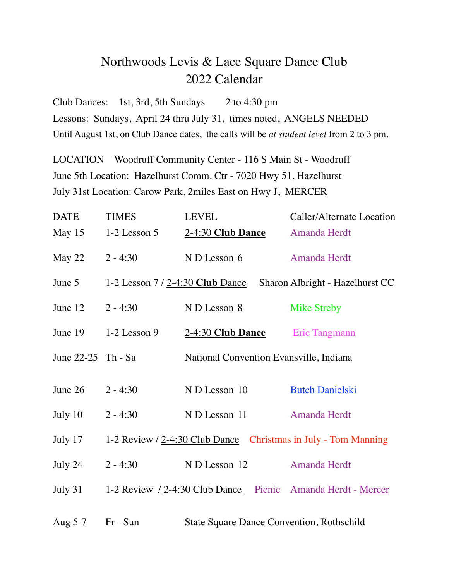## Northwoods Levis & Lace Square Dance Club 2022 Calendar

Club Dances: 1st, 3rd, 5th Sundays 2 to 4:30 pm Lessons: Sundays, April 24 thru July 31, times noted, ANGELS NEEDED Until August 1st, on Club Dance dates, the calls will be *at student level* from 2 to 3 pm.

LOCATION Woodruff Community Center - 116 S Main St - Woodruff June 5th Location: Hazelhurst Comm. Ctr - 7020 Hwy 51, Hazelhurst July 31st Location: Carow Park, 2miles East on Hwy J, MERCER

| <b>DATE</b>        | <b>TIMES</b>                      | <b>LEVEL</b>                                                   | Caller/Alternate Location       |
|--------------------|-----------------------------------|----------------------------------------------------------------|---------------------------------|
| May 15             | $1-2$ Lesson 5                    | 2-4:30 Club Dance                                              | Amanda Herdt                    |
| May 22             | $2 - 4:30$                        | N D Lesson 6                                                   | Amanda Herdt                    |
| June 5             | 1-2 Lesson $7/2$ -4:30 Club Dance |                                                                | Sharon Albright - Hazelhurst CC |
| June 12            | $2 - 4:30$                        | ND Lesson 8                                                    | <b>Mike Streby</b>              |
| June 19            | $1-2$ Lesson 9                    | 2-4:30 Club Dance                                              | Eric Tangmann                   |
| June 22-25 Th - Sa |                                   | National Convention Evansville, Indiana                        |                                 |
| June 26            | $2 - 4:30$                        | N D Lesson 10                                                  | <b>Butch Danielski</b>          |
| July 10            | $2 - 4:30$                        | N D Lesson 11                                                  | Amanda Herdt                    |
| July 17            |                                   | 1-2 Review / 2-4:30 Club Dance Christmas in July - Tom Manning |                                 |
| July 24            | $2 - 4:30$                        | N D Lesson 12                                                  | Amanda Herdt                    |
| July $31$          |                                   | 1-2 Review / 2-4:30 Club Dance Picnic Amanda Herdt - Mercer    |                                 |
| Aug $5-7$          | Fr - Sun                          | <b>State Square Dance Convention, Rothschild</b>               |                                 |